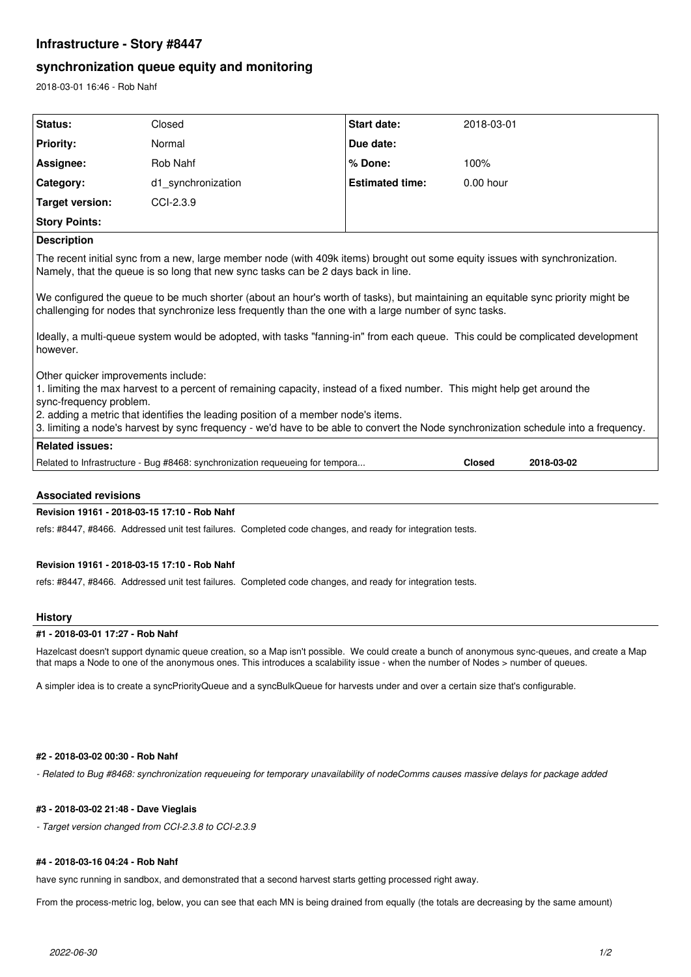# **Infrastructure - Story #8447**

# **synchronization queue equity and monitoring**

2018-03-01 16:46 - Rob Nahf

| Status:                                                                                                                                                                                                                                                                                                                                                                                                                  | Closed                                                                        | <b>Start date:</b>     | 2018-03-01    |            |
|--------------------------------------------------------------------------------------------------------------------------------------------------------------------------------------------------------------------------------------------------------------------------------------------------------------------------------------------------------------------------------------------------------------------------|-------------------------------------------------------------------------------|------------------------|---------------|------------|
| <b>Priority:</b>                                                                                                                                                                                                                                                                                                                                                                                                         | Normal                                                                        | Due date:              |               |            |
|                                                                                                                                                                                                                                                                                                                                                                                                                          |                                                                               |                        |               |            |
| Assignee:                                                                                                                                                                                                                                                                                                                                                                                                                | Rob Nahf                                                                      | % Done:                | 100%          |            |
| Category:                                                                                                                                                                                                                                                                                                                                                                                                                | d1 synchronization                                                            | <b>Estimated time:</b> | $0.00$ hour   |            |
| <b>Target version:</b>                                                                                                                                                                                                                                                                                                                                                                                                   | CCI-2.3.9                                                                     |                        |               |            |
| <b>Story Points:</b>                                                                                                                                                                                                                                                                                                                                                                                                     |                                                                               |                        |               |            |
| <b>Description</b>                                                                                                                                                                                                                                                                                                                                                                                                       |                                                                               |                        |               |            |
| The recent initial sync from a new, large member node (with 409k items) brought out some equity issues with synchronization.<br>Namely, that the queue is so long that new sync tasks can be 2 days back in line.                                                                                                                                                                                                        |                                                                               |                        |               |            |
| We configured the queue to be much shorter (about an hour's worth of tasks), but maintaining an equitable sync priority might be<br>challenging for nodes that synchronize less frequently than the one with a large number of sync tasks.                                                                                                                                                                               |                                                                               |                        |               |            |
| Ideally, a multi-queue system would be adopted, with tasks "fanning-in" from each queue. This could be complicated development<br>however.                                                                                                                                                                                                                                                                               |                                                                               |                        |               |            |
| Other quicker improvements include:<br>1. limiting the max harvest to a percent of remaining capacity, instead of a fixed number. This might help get around the<br>sync-frequency problem.<br>2. adding a metric that identifies the leading position of a member node's items.<br>3. limiting a node's harvest by sync frequency - we'd have to be able to convert the Node synchronization schedule into a frequency. |                                                                               |                        |               |            |
| <b>Related issues:</b>                                                                                                                                                                                                                                                                                                                                                                                                   |                                                                               |                        |               |            |
|                                                                                                                                                                                                                                                                                                                                                                                                                          | Related to Infrastructure - Bug #8468: synchronization requeueing for tempora |                        | <b>Closed</b> | 2018-03-02 |
|                                                                                                                                                                                                                                                                                                                                                                                                                          |                                                                               |                        |               |            |

# **Associated revisions**

## **Revision 19161 - 2018-03-15 17:10 - Rob Nahf**

refs: #8447, #8466. Addressed unit test failures. Completed code changes, and ready for integration tests.

# **Revision 19161 - 2018-03-15 17:10 - Rob Nahf**

refs: #8447, #8466. Addressed unit test failures. Completed code changes, and ready for integration tests.

#### **History**

#### **#1 - 2018-03-01 17:27 - Rob Nahf**

Hazelcast doesn't support dynamic queue creation, so a Map isn't possible. We could create a bunch of anonymous sync-queues, and create a Map that maps a Node to one of the anonymous ones. This introduces a scalability issue - when the number of Nodes > number of queues.

A simpler idea is to create a syncPriorityQueue and a syncBulkQueue for harvests under and over a certain size that's configurable.

## **#2 - 2018-03-02 00:30 - Rob Nahf**

*- Related to Bug #8468: synchronization requeueing for temporary unavailability of nodeComms causes massive delays for package added*

### **#3 - 2018-03-02 21:48 - Dave Vieglais**

*- Target version changed from CCI-2.3.8 to CCI-2.3.9*

#### **#4 - 2018-03-16 04:24 - Rob Nahf**

have sync running in sandbox, and demonstrated that a second harvest starts getting processed right away.

From the process-metric log, below, you can see that each MN is being drained from equally (the totals are decreasing by the same amount)